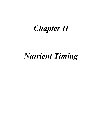# *Chapter II*

# *Nutrient Timing*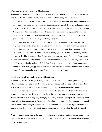#### **What matters is what is in your bloodstream**

Your consciousness experiences what you eat, but your cells do not. They only know what is in your bloodstream. You lose nutrients to your waste systems, body fat, and oxidation:

- Food that is not digested well passes through your intestines into your stool, generating gas while processed by bacteria. This is common with dehydration, typically from low or high salt intake relative to perspiration losses, regardless of how much water you drink (see hydration chapter).
- Nitrogen in protein you eat that your cells cannot process quickly enough goes to your urine, meaning that most protein shakes enrich your urine more than they do your cells. The carbon in excess protein in the blood at any given time goes to fat.
- Blood sugar that lean tissue cells cannot absorb quickly enough generates a large insulin response that clears the sugar out into fat and liver cells, and reduces fat release by fat cells. Blood sugar can end up lower than before eating, lowering brain function, commonly called "food coma." When carbs in a meal make you sleepy, you have increased your body fat and disease risk while simultaneously reducing your recovery and energy (both mental and physical).
- Phytonutrients and unsaturated fats contain easily oxidized double bonds, so they break down quickly and need to be replenished. It is therefore better to eat them every day (a continuous supply for your cells), as opposed to extremely large amounts sometimes and very few at other times. Surplus cannot be used or stored without oxidation over time.

#### **Poor blood chemistry results in a loss of lean tissue**

The cells in your lean tissue, particularly skeletal muscle, break down to keep your body going when you have poor blood chemistry, mainly low blood sugar and/or blood protein levels. This is at its worst when you wake up in the morning (having not eaten in many hours) and right after exercise (having used up nutrients in your bloodstream faster). And yet these are the two times people are generally least likely to eat. The body does not have much capacity to store water, protein or sugar, which is why we get hungry and thirsty more than once per day. The body stores enough body fat to not eat fat as frequently as the other food groups, but fats generate a hormonal response that reduces hunger hormonally, so include dietary fat in all meals if you have incessant hunger issues. But to the initial point, hunger perception can be low when the body is starved.

A lack of hunger perception in the morning or after exercise is irrelevant to the experience of your cells, which are actively breaking down at the rate of 10-20 Cal per hour based on RDA estimates.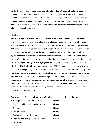On the flip side of this, continued snacking after a large dinner because of continued hunger or cravings is irrelevant to any cellular benefits. If you could just eat based on your perception, there would be no need to ever ask the question of how to improve your nutrition because perception would automatically optimize your nutrition for you. The point of mentally engineering your nutrition is to systematically take care of your cells even when your perception is not providing you all of the information you need.

## **PROTEIN**

### **Hours of cell growth depends on how many hours the protein is available in your blood**

Low blood protein stimulates cortisol release, breaking down muscle tissue to provide protein. Studies with individual cells, animals, and humans indicate that we need amino acids continuously, 24 hours a day. Our bloodstream fluctuates between getting amino acids from the intestines after we eat, and from out muscle when the intestinal supply runs low. The slower the protein we eat digests, the longer it is available from the intestines for growth. For example, in a study with NYC police officers during 3 months of strength training, there was twice the muscle gain, twice the body fat loss, and significantly greater strength gain when using casein versus whey protein powder [Demling RH & DeSanti L, Ann Nutr Metab 44 **2000** 21]. This does not mean, however that we should use casein protein powder; it digests slower and is available longer because of hydrophobic side chains, making it more susceptible to oxidation. Since protein powder is processed and dried at high temperature it is oxidized, as are both the protein and fats in most commercially available milk since most is exposed to extended high temperatures for pasteurization or while reducing the fat content [Meyer B et al., J Agric Food Chem 60 **2012** 7306]. To lengthen the digestion and therefore cellular growth time of your cells, use food, which takes much longer for your digestive system to process than liquids.

Amino acid availability duration to your cells might be something like the following:

| • Whey protein powder, shakes, or bars      | 2 hours    |
|---------------------------------------------|------------|
| • Casein, or milk (which contains casein)   | 3 hours    |
| • Yogurt                                    | 4 hours    |
| • Cottage cheese                            | 5 hours    |
| • Cooked eggs, meats, fish, tofu            | 6 hours    |
| • Together with dietary fats and vegetables | $6+$ hours |
|                                             |            |

© Dr. Clyde Wilson 2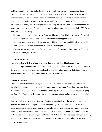### **Eat the amount of protein that actually benefits you based on the protein process time**

Once you have an estimate of how many hours your cells will benefit from the particular protein you are choosing to eat at any given time, you can then estimate how much of that protein you should eat. Since cells use protein at the rate of 10-20 Cal per hour (up to 30 Cal per hour for an NFL lineman weighing 340 lb during intensive training), multiply 10-20 Cal times the number of hours your protein will last. For example, if you are training hard, use the upper limit of 20 Cal per hour, and if you are eating:

- Whey protein in powder, liquid or bar form, anything more than 40 Cal (10 grams) of protein is unlikely to provide any additional benefit other than enriching your urine
- Yogurt as your protein, which likely processes within 4 hours, you would ideally consume 80 Cal (20 grams) of protein, the amount in 10 oz of Greek yogurt
- If you are eating meat, poultry or fish, you get 6 hours of growth and should eat 120 Cal or 30 grams of protein, so 4-5 ounces

# **CARBOHYDRATE**

### **Hours of cell growth depends on how many hours of sufficient blood sugar supply**

Low blood sugar stimulates cortisol release, breaking down muscle tissue to supply amino acids to the liver for conversion to glucose. The length of time that eating a carbohydrate boosts your blood glucose depends on the type of sugar and how quickly it digests.

# **Carbohydrate type**

Glucose is directly burned as fuel by your cells, so as it digests and enters the blood from the intestine it is transported into your cells. If glucose enters your blood faster than your lean tissue can absorb it, blood glucose levels rise rapidly, elevating insulin enough to increase glucose going into body fat. Foods primarily glucose are tubers (yam and potato) and cereals (rice, corn, grains).

Sucrose is half glucose and half fructose. Fructose goes to the liver, where it is converted into glucose at the rate of 1-2 Cal per min. Fructose entering the liver faster than this activates a transcription factor that increases gene expression for the proteins that convert fructose into fats, elevating liver and therefore blood fat levels. This is why fruit juice and sugary foods, which are half fructose and process quickly, are not fundamentally healthy. Sucrose foods are legumes, fruits, vegetables, and foods with added sugar. Legumes digest so slowly that the chances of a large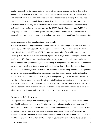insulin response from the glucose or fat production from the fructose are very low. This makes legumes the most effective time-release glucose supply (directly and then via liver production) that I am aware of. Berries and fruit consumed with the peel (coarseness slows digestion) would be a close second. Vegetables, which digest at a rate dependent on how much they are cooked, would be as slow as legumes but they are so low in calories that their main benefit comes from extremely high nutrient level and their impact on slowing the REST of the foods you consume WITH them. Dairy sugar is lactose, which is half glucose and half galactose. Galactose is also converted to glucose by the liver, but dairy sugar processes fairly slow and is not a significant fat production risk.

#### **Using vegetables to slow starches (tubers and cereals)**

Studies with diabetics compared to normal controls show that both groups have their starchy foods slowed by 1/3 if they eat vegetables 10 min before as opposed to 10 min after eating the starch [Imai S et al., Diabet Med 30 **2013** 370]. This means having a lot of vegetables won't help you slow digestion very much if you have already digested much of your meal before you eat them. It is shocking that 1/3 of the carbohydrate in meals is already digested and entering the bloodstream in just 10 minutes. This goes to show you how unhealthy carbohydrates have become in our toxic food environment in which everything is processed, and therefore digests faster than natural food. Fortunately, we have vegetables to save us from this mess. And the timing matters: If the vegetables are not in your stomach until later they cannot help you. Presumably eating vegetables together WITH the rest of your meal would be as helpful as eating them right before the meal, since either way the vegetables are in your stomach with the rest of the food, but this has not yet been tested. I personally choose to eat my vegetables together with the rest of my meals because it is easier to eat a lot of vegetables when you eat them with a tasty meal at the same time. Spinach tastes like pizza when you eat it with pizza. Kale tastes like a burger when you eat it with a burger.

#### **How much carbohydrate to eat**

Use legumes, fruits and (to a lesser extent) vegetables as your carbohydrate calories for baseline basic health and recovery. Use vegetables to slow the digestion of starches (tubers and cereals) when you choose to eat them, except when they are absorbed rapidly into your lean tissues i.e. when low in fuel reserves (right after you wake) or after intense muscle contraction (right after you exercise). Cell absorption rate is higher after intensive training than after waking, so combine your breakfast carb with protein and dietary fat to improve your body's hormonal and digestive response.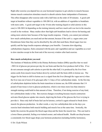Right after exercise you depend less on your hormonal response to get calories to muscle because intense muscle contraction stimulates muscle to absorb calories faster independent of hormones. This effect disappears after exercise ends with a half time on the order of 20 minutes. A good carb target at breakfast without vegetables is 100-200 Cal, with an addition of vegetables to breakfasts with more carbs. A good carb target in the 10 min after training (liquid or solid calories in this case) is 100-300 Cal depending on the training intensity and how much carb was lost in the muscles overall in the workout. Many studies show that high-carb breakfasts lead to slower fat burning and eating more calories later because of the large insulin response. Clearly, you cannot just estimate how much carbohydrate you need and eat that amount, because if the carb i.e. sugars enter your bloodstream faster than they can be absorbed by the cells that need them, blood sugar rises too quickly and the large insulin response sabotages your benefits. Consume slow-digesting carbohydrates (legumes, fruits consumed with the peel, and vegetables) and use vegetables as a tool to slow starches except in the front end of the recovery window after hard exercise.

#### **How much carbohydrate you need**

The Institute of Medicine (IOM) in the Dietary Reference Intakes (DRIs) specifies that we need  $\sim$ 500 Cal of glucose per person per day for our brain and that the liver produces half of this. If we do not consume enough carb calories to provide the other half, it is produced by the liver from amino acids from muscle tissue broken down by cortisol until the brain shifts to ketone use. The trigger for the brain to shift to ketone use is a signal from the liver (through the vagus nerve) when the liver runs out of most of its glycogen after 1-2 days of low carbohydrate intake. In the first day of carbohydrate depletion before the brain transitions to ketone use, the IOM estimates that 1/4 pound of lean tissue is lost to glucose production, which is ten times more loss than intensive strength training could build in that amount of time. Therefore, if not doing exercise of any kind, low carbohydrate intake is fine. But exercise changes everything because muscle contraction activates blood glucose uptake into muscle, depriving the brain of the glucose the liver is trying to provide it. Since only half of brain fuel can be ketones, cortisol is again released to break down muscle for glucose production. In other words, a very low carbohydrate diet on the days you exercise hard stimulates both muscle building and muscle loss at the same time. Ironically, the harder the exercise the greater the blood sugar drop and the faster the muscle loss. This can lead to a lower fitness potential, feeling over-trained sooner, and reduced health. Health can drop because a consistently low blood sugar drops your hormone production (including fertility hormones),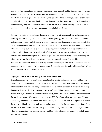immune system strength, injury recovery rate, bone density, mood, and the horrible irony of muscle loss eliminating your ability to reduce body fat, possibly to the point that the harder you work out the fatter you seem to get. These are precisely the opposite effects of what you would expect from exercise, all because your nutrition is not properly coordinated to your exercise. The bottom line is that hammering on your body hard from two different directions (more training and less nutrition) can be too much for it to overcome or adapt to, especially in the long term.

Studies show that training at lactate threshold or lower intensity uses mainly fat as fuel, making a relatively low-carb diet (a few hundred calories worth per day) sufficient. But workouts that are higher intensity require carbohydrates to be recovered into muscle in order to avoid the muscle loss cycle. It only matters how much carb is actually recovered into muscle, not how much carb you eat, which means your carb timing is critical. Not eating glucose right after exercise, and then overeating carb later in the day just sends much of what your muscles need to body fat instead,you're your muscles continue to deplete your blood sugar. You reduce fat burning and increase body fat when you over-do the carb, and lose muscle tissue when carb levels are low, so this pattern oscillates back and forth between increasing body fat and losing muscle mass. You end up with the opposite body composition of what was expected from cutting calories and working out hard, which is an insanely frustrating situation to be in.

#### **Layer your sports nutrition on top of your health nutrition**

The solution is create your nutrition program based on health, and then layer on top of that your sports nutrition, meaning higher protein based on your training for the past week, and your glucose intake based on your training today. Since protein and dietary fats process relatively slow, eating them three times per day in your major meals is sufficient. When consuming a fast-digesting protein source, if your next meal is many hours away, have a snack that contains a protein between the meals e.g. yogurt. When consuming more than 200 Cal of starch in a meal use vegetables to slow its digestion rate. Determine how much carbohydrate you need, then use vegetables to slow it down so your bloodstream has both protein and carb available for the same duration of time. Both are needed at all times for recovery and growth. Determining how much carbohydrate you need and when is dependent on your training intensity and body fat goals using the concept of carbohydrate deficit (next chapter).